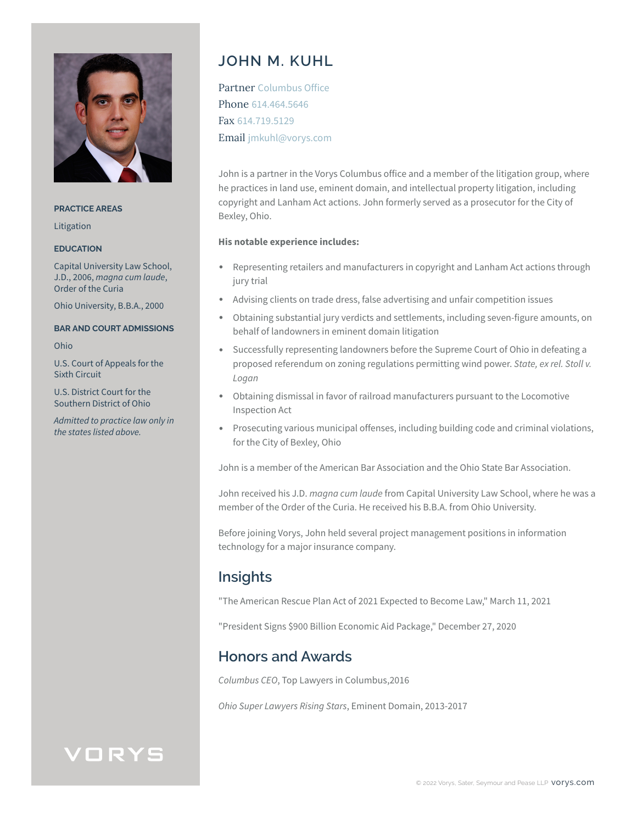

**PRACTICE AREAS**

Litigation

#### **EDUCATION**

Capital University Law School, J.D., 2006, *magna cum laude*, Order of the Curia

Ohio University, B.B.A., 2000

#### **BAR AND COURT ADMISSIONS**

Ohio

U.S. Court of Appeals for the Sixth Circuit

U.S. District Court for the Southern District of Ohio

*Admitted to practice law only in the states listed above.*

# **JOHN M. KUHL**

Partner Columbus Office Phone 614.464.5646 Fax 614.719.5129 Email jmkuhl@vorys.com

John is a partner in the Vorys Columbus office and a member of the litigation group, where he practices in land use, eminent domain, and intellectual property litigation, including copyright and Lanham Act actions. John formerly served as a prosecutor for the City of Bexley, Ohio.

#### **His notable experience includes:**

- Representing retailers and manufacturers in copyright and Lanham Act actions through jury trial
- Advising clients on trade dress, false advertising and unfair competition issues
- Obtaining substantial jury verdicts and settlements, including seven-figure amounts, on behalf of landowners in eminent domain litigation
- Successfully representing landowners before the Supreme Court of Ohio in defeating a proposed referendum on zoning regulations permitting wind power. *State, ex rel. Stoll v. Logan*
- Obtaining dismissal in favor of railroad manufacturers pursuant to the Locomotive Inspection Act
- Prosecuting various municipal offenses, including building code and criminal violations, for the City of Bexley, Ohio

John is a member of the American Bar Association and the Ohio State Bar Association.

John received his J.D. *magna cum laude* from Capital University Law School, where he was a member of the Order of the Curia. He received his B.B.A. from Ohio University.

Before joining Vorys, John held several project management positions in information technology for a major insurance company.

### **Insights**

"The American Rescue Plan Act of 2021 Expected to Become Law," March 11, 2021

"President Signs \$900 Billion Economic Aid Package," December 27, 2020

### **Honors and Awards**

*Columbus CEO*, Top Lawyers in Columbus,2016

*Ohio Super Lawyers Rising Stars*, Eminent Domain, 2013-2017

# VORYS